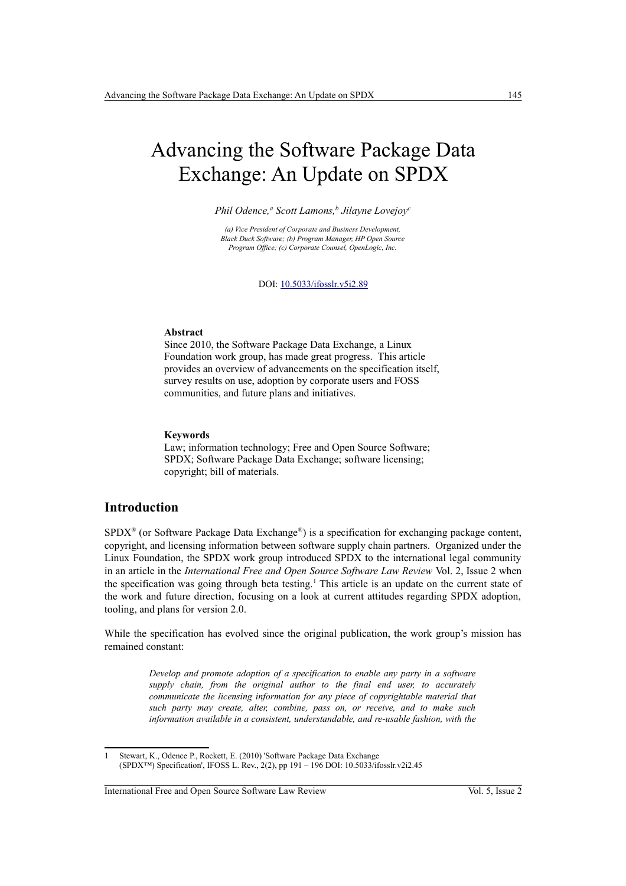# Advancing the Software Package Data Exchange: An Update on SPDX

*Phil Odence,<sup>a</sup> Scott Lamons,<sup>b</sup> Jilayne Lovejoy<sup>c</sup>*

*(a) Vice President of Corporate and Business Development, Black Duck Software; (b) Program Manager, HP Open Source Program Office; (c) Corporate Counsel, OpenLogic, Inc.*

DOI: [10.5033/ifosslr.v5i2.89](http://dx.doi.org/10.5033/ifosslr.v5i2.89)

#### **Abstract**

Since 2010, the Software Package Data Exchange, a Linux Foundation work group, has made great progress. This article provides an overview of advancements on the specification itself, survey results on use, adoption by corporate users and FOSS communities, and future plans and initiatives.

#### **Keywords**

Law; information technology; Free and Open Source Software; SPDX; Software Package Data Exchange; software licensing; copyright; bill of materials.

### **Introduction**

 $SPDX^{\otimes}$  (or Software Package Data Exchange<sup>®</sup>) is a specification for exchanging package content, copyright, and licensing information between software supply chain partners. Organized under the Linux Foundation, the SPDX work group introduced SPDX to the international legal community in an article in the *International Free and Open Source Software Law Review* Vol. 2, Issue 2 when the specification was going through beta testing.<sup>[1](#page-0-0)</sup> This article is an update on the current state of the work and future direction, focusing on a look at current attitudes regarding SPDX adoption, tooling, and plans for version 2.0.

While the specification has evolved since the original publication, the work group's mission has remained constant:

> *Develop and promote adoption of a specification to enable any party in a software supply chain, from the original author to the final end user, to accurately communicate the licensing information for any piece of copyrightable material that such party may create, alter, combine, pass on, or receive, and to make such information available in a consistent, understandable, and re-usable fashion, with the*

<span id="page-0-0"></span>Stewart, K., Odence P., Rockett, E. (2010) 'Software Package Data Exchange (SPDX™) Specification', IFOSS L. Rev., 2(2), pp 191 – 196 DOI: 10.5033/ifosslr.v2i2.45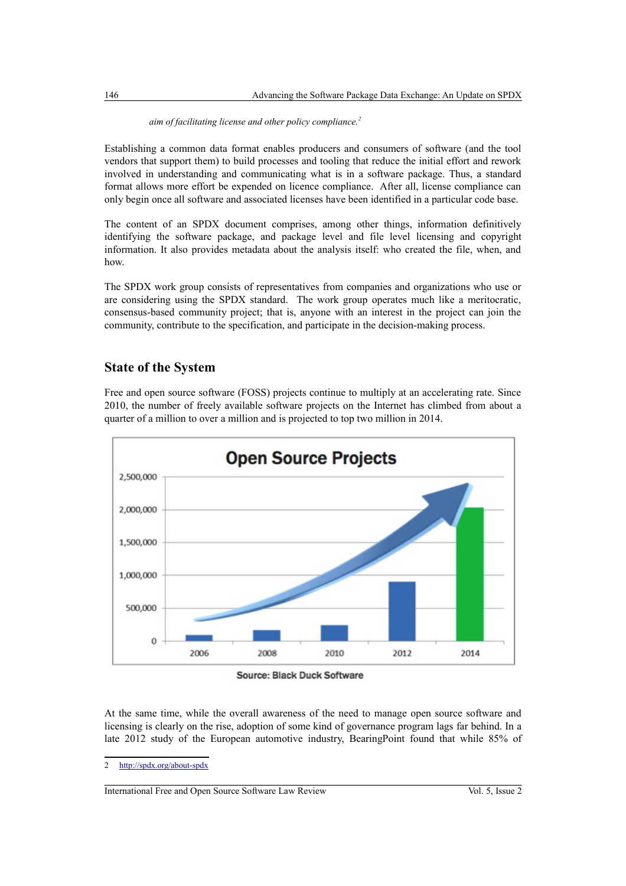#### *aim of facilitating license and other policy compliance.[2](#page-1-0)*

Establishing a common data format enables producers and consumers of software (and the tool vendors that support them) to build processes and tooling that reduce the initial effort and rework involved in understanding and communicating what is in a software package. Thus, a standard format allows more effort be expended on licence compliance. After all, license compliance can only begin once all software and associated licenses have been identified in a particular code base.

The content of an SPDX document comprises, among other things, information definitively identifying the software package, and package level and file level licensing and copyright information. It also provides metadata about the analysis itself: who created the file, when, and how.

The SPDX work group consists of representatives from companies and organizations who use or are considering using the SPDX standard. The work group operates much like a meritocratic, consensus-based community project; that is, anyone with an interest in the project can join the community, contribute to the specification, and participate in the decision-making process.

## **State of the System**

Free and open source software (FOSS) projects continue to multiply at an accelerating rate. Since 2010, the number of freely available software projects on the Internet has climbed from about a quarter of a million to over a million and is projected to top two million in 2014.



Source: Black Duck Software

At the same time, while the overall awareness of the need to manage open source software and licensing is clearly on the rise, adoption of some kind of governance program lags far behind. In a late 2012 study of the European automotive industry, BearingPoint found that while 85% of

<span id="page-1-0"></span><sup>2</sup> <http://spdx.org/about-spdx>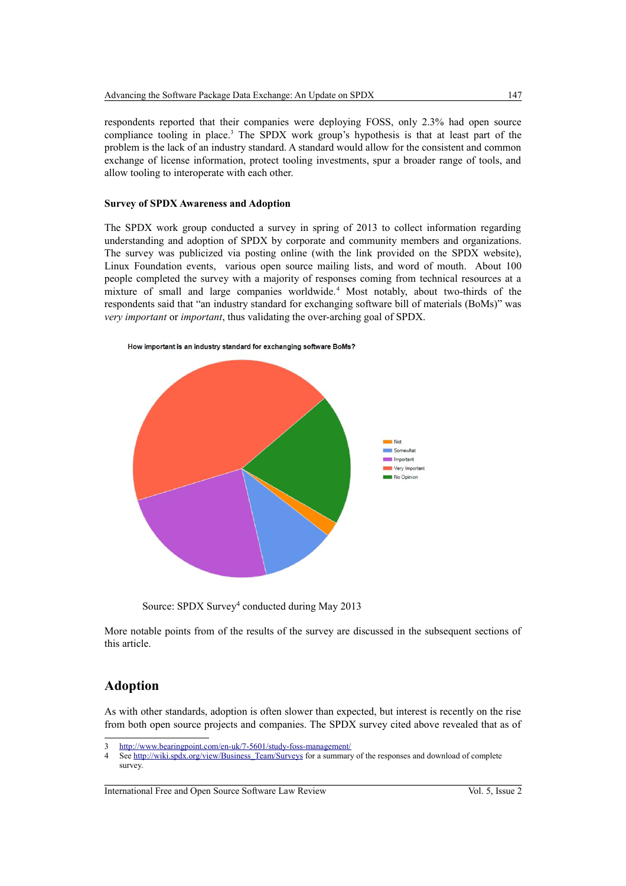respondents reported that their companies were deploying FOSS, only 2.3% had open source compliance tooling in place.<sup>[3](#page-2-0)</sup> The SPDX work group's hypothesis is that at least part of the problem is the lack of an industry standard. A standard would allow for the consistent and common exchange of license information, protect tooling investments, spur a broader range of tools, and allow tooling to interoperate with each other.

#### **Survey of SPDX Awareness and Adoption**

The SPDX work group conducted a survey in spring of 2013 to collect information regarding understanding and adoption of SPDX by corporate and community members and organizations. The survey was publicized via posting online (with the link provided on the SPDX website), Linux Foundation events, various open source mailing lists, and word of mouth. About 100 people completed the survey with a majority of responses coming from technical resources at a mixture of small and large companies worldwide.<sup>[4](#page-2-1)</sup> Most notably, about two-thirds of the respondents said that "an industry standard for exchanging software bill of materials (BoMs)" was *very important* or *important*, thus validating the over-arching goal of SPDX.



Source: SPDX Survey<sup>4</sup> conducted during May 2013

More notable points from of the results of the survey are discussed in the subsequent sections of this article.

## **Adoption**

As with other standards, adoption is often slower than expected, but interest is recently on the rise from both open source projects and companies. The SPDX survey cited above revealed that as of

<span id="page-2-0"></span><sup>3</sup> <http://www.bearingpoint.com/en-uk/7-5601/study-foss-management/>

<span id="page-2-1"></span><sup>4</sup> See [http://wiki.spdx.org/view/Business\\_Team/Surveys](http://wiki.spdx.org/view/Business_Team/Surveys) for a summary of the responses and download of complete survey.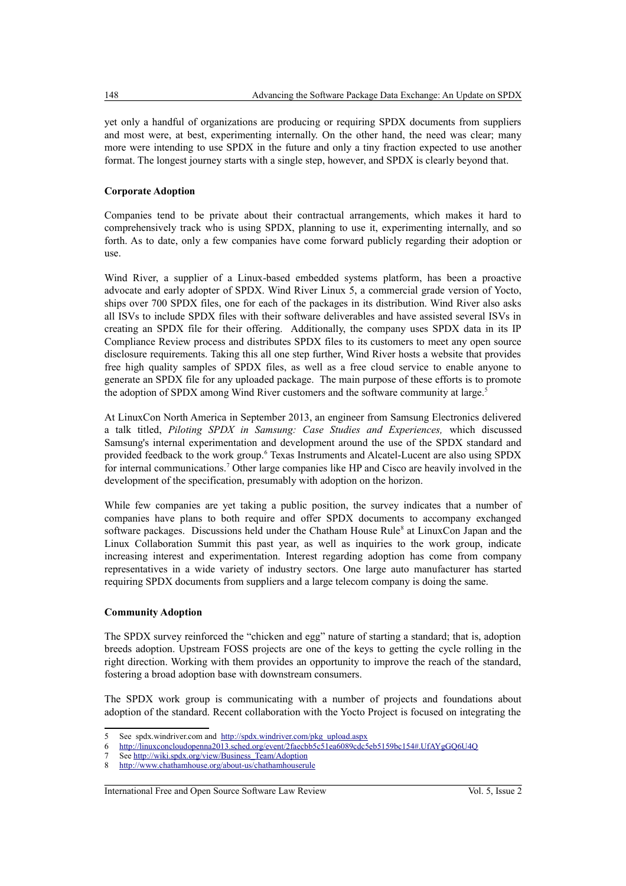yet only a handful of organizations are producing or requiring SPDX documents from suppliers and most were, at best, experimenting internally. On the other hand, the need was clear; many more were intending to use SPDX in the future and only a tiny fraction expected to use another format. The longest journey starts with a single step, however, and SPDX is clearly beyond that.

#### **Corporate Adoption**

Companies tend to be private about their contractual arrangements, which makes it hard to comprehensively track who is using SPDX, planning to use it, experimenting internally, and so forth. As to date, only a few companies have come forward publicly regarding their adoption or use.

Wind River, a supplier of a Linux-based embedded systems platform, has been a proactive advocate and early adopter of SPDX. Wind River Linux 5, a commercial grade version of Yocto, ships over 700 SPDX files, one for each of the packages in its distribution. Wind River also asks all ISVs to include SPDX files with their software deliverables and have assisted several ISVs in creating an SPDX file for their offering. Additionally, the company uses SPDX data in its IP Compliance Review process and distributes SPDX files to its customers to meet any open source disclosure requirements. Taking this all one step further, Wind River hosts a website that provides free high quality samples of SPDX files, as well as a free cloud service to enable anyone to generate an SPDX file for any uploaded package. The main purpose of these efforts is to promote the adoption of SPDX among Wind River customers and the software community at large.<sup>[5](#page-3-0)</sup>

At LinuxCon North America in September 2013, an engineer from Samsung Electronics delivered a talk titled, *Piloting SPDX in Samsung: Case Studies and Experiences,* which discussed Samsung's internal experimentation and development around the use of the SPDX standard and provided feedback to the work group.<sup>[6](#page-3-1)</sup> Texas Instruments and Alcatel-Lucent are also using SPDX for internal communications.<sup>[7](#page-3-2)</sup> Other large companies like HP and Cisco are heavily involved in the development of the specification, presumably with adoption on the horizon.

While few companies are yet taking a public position, the survey indicates that a number of companies have plans to both require and offer SPDX documents to accompany exchanged software packages. Discussions held under the Chatham House Rule<sup>[8](#page-3-3)</sup> at LinuxCon Japan and the Linux Collaboration Summit this past year, as well as inquiries to the work group, indicate increasing interest and experimentation. Interest regarding adoption has come from company representatives in a wide variety of industry sectors. One large auto manufacturer has started requiring SPDX documents from suppliers and a large telecom company is doing the same.

#### **Community Adoption**

The SPDX survey reinforced the "chicken and egg" nature of starting a standard; that is, adoption breeds adoption. Upstream FOSS projects are one of the keys to getting the cycle rolling in the right direction. Working with them provides an opportunity to improve the reach of the standard, fostering a broad adoption base with downstream consumers.

The SPDX work group is communicating with a number of projects and foundations about adoption of the standard. Recent collaboration with the Yocto Project is focused on integrating the

<span id="page-3-0"></span><sup>5</sup> See spdx.windriver.com and [http://spdx.windriver.com/pkg\\_upload.aspx](http://spdx.windriver.com/pkg_upload.aspx)

<span id="page-3-1"></span><sup>6</sup> <http://linuxconcloudopenna2013.sched.org/event/2faecbb5c51ea6089cdc5eb5159bc154#.UfAYgGQ6U4Q>

<span id="page-3-2"></span>See [http://wiki.spdx.org/view/Business\\_Team/Adoption](http://wiki.spdx.org/view/Business_Team/Adoption)

<span id="page-3-3"></span><sup>8</sup> <http://www.chathamhouse.org/about-us/chathamhouserule>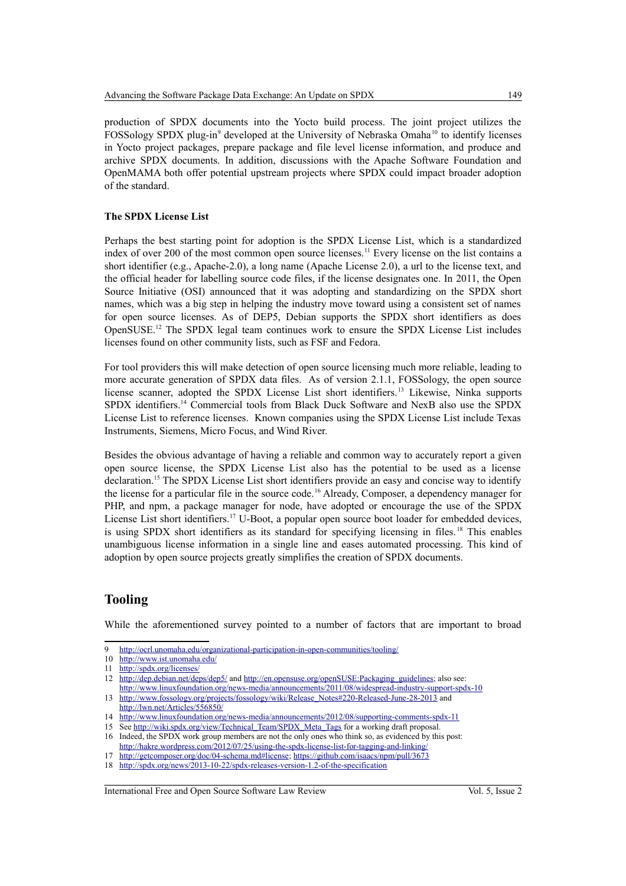production of SPDX documents into the Yocto build process. The joint project utilizes the FOSSology SPDX plug-in<sup>[9](#page-4-0)</sup> developed at the University of Nebraska Omaha<sup>[10](#page-4-1)</sup> to identify licenses in Yocto project packages, prepare package and file level license information, and produce and archive SPDX documents. In addition, discussions with the Apache Software Foundation and OpenMAMA both offer potential upstream projects where SPDX could impact broader adoption of the standard.

#### **The SPDX License List**

Perhaps the best starting point for adoption is the SPDX License List, which is a standardized index of over 200 of the most common open source licenses.<sup>[11](#page-4-2)</sup> Every license on the list contains a short identifier (e.g., Apache-2.0), a long name (Apache License 2.0), a url to the license text, and the official header for labelling source code files, if the license designates one. In 2011, the Open Source Initiative (OSI) announced that it was adopting and standardizing on the SPDX short names, which was a big step in helping the industry move toward using a consistent set of names for open source licenses. As of DEP5, Debian supports the SPDX short identifiers as does OpenSUSE.[12](#page-4-3) The SPDX legal team continues work to ensure the SPDX License List includes licenses found on other community lists, such as FSF and Fedora.

For tool providers this will make detection of open source licensing much more reliable, leading to more accurate generation of SPDX data files. As of version 2.1.1, FOSSology, the open source license scanner, adopted the SPDX License List short identifiers.[13](#page-4-4) Likewise, Ninka supports SPDX identifiers.[14](#page-4-5) Commercial tools from Black Duck Software and NexB also use the SPDX License List to reference licenses. Known companies using the SPDX License List include Texas Instruments, Siemens, Micro Focus, and Wind River.

Besides the obvious advantage of having a reliable and common way to accurately report a given open source license, the SPDX License List also has the potential to be used as a license declaration.[15](#page-4-6) The SPDX License List short identifiers provide an easy and concise way to identify the license for a particular file in the source code.[16](#page-4-7) Already, Composer, a dependency manager for PHP, and npm, a package manager for node, have adopted or encourage the use of the SPDX License List short identifiers.<sup>[17](#page-4-8)</sup> U-Boot, a popular open source boot loader for embedded devices, is using SPDX short identifiers as its standard for specifying licensing in files.<sup>[18](#page-4-9)</sup> This enables unambiguous license information in a single line and eases automated processing. This kind of adoption by open source projects greatly simplifies the creation of SPDX documents.

## **Tooling**

While the aforementioned survey pointed to a number of factors that are important to broad

<span id="page-4-0"></span><http://ocrl.unomaha.edu/organizational-participation-in-open-communities/tooling/>

<span id="page-4-1"></span><sup>10</sup> <http://www.ist.unomaha.edu/>

<span id="page-4-2"></span><sup>11</sup> <http://spdx.org/licenses/>

<span id="page-4-3"></span><sup>12</sup> <http://dep.debian.net/deps/dep5/>and [http://en.opensuse.org/openSUSE:Packaging\\_guidelines;](http://en.opensuse.org/openSUSE:Packaging_guidelines) also see: <http://www.linuxfoundation.org/news-media/announcements/2011/08/widespread-industry-support-spdx-10>

<span id="page-4-4"></span><sup>13</sup> [http://www.fossology.org/projects/fossology/wiki/Release\\_Notes#220-Released-June-28-2013](http://www.fossology.org/projects/fossology/wiki/Release_Notes#220-Released-June-28-2013) and <http://lwn.net/Articles/556850/>

<span id="page-4-5"></span><sup>14</sup> <http://www.linuxfoundation.org/news-media/announcements/2012/08/supporting-comments-spdx-11>

<span id="page-4-7"></span><span id="page-4-6"></span><sup>15</sup> See [http://wiki.spdx.org/view/Technical\\_Team/SPDX\\_Meta\\_Tags](http://wiki.spdx.org/view/Technical_Team/SPDX_Meta_Tags) for a working draft proposal. 16 Indeed, the SPDX work group members are not the only ones who think so, as evidenced by this post:

<span id="page-4-8"></span><http://hakre.wordpress.com/2012/07/25/using-the-spdx-license-list-for-tagging-and-linking/> 17 [http://getcomposer.org/doc/04-schema.md#license;](http://getcomposer.org/doc/04-schema.md#license)<https://github.com/isaacs/npm/pull/3673>

<span id="page-4-9"></span><sup>18</sup> <http://spdx.org/news/2013-10-22/spdx-releases-version-1.2-of-the-specification>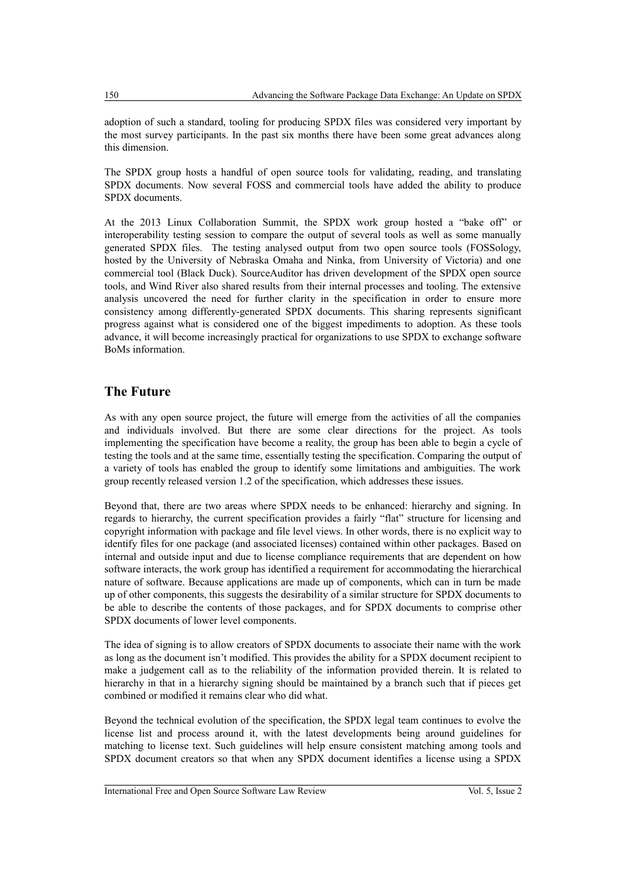adoption of such a standard, tooling for producing SPDX files was considered very important by the most survey participants. In the past six months there have been some great advances along this dimension.

The SPDX group hosts a handful of open source tools for validating, reading, and translating SPDX documents. Now several FOSS and commercial tools have added the ability to produce SPDX documents.

At the 2013 Linux Collaboration Summit, the SPDX work group hosted a "bake off" or interoperability testing session to compare the output of several tools as well as some manually generated SPDX files. The testing analysed output from two open source tools (FOSSology, hosted by the University of Nebraska Omaha and Ninka, from University of Victoria) and one commercial tool (Black Duck). SourceAuditor has driven development of the SPDX open source tools, and Wind River also shared results from their internal processes and tooling. The extensive analysis uncovered the need for further clarity in the specification in order to ensure more consistency among differently-generated SPDX documents. This sharing represents significant progress against what is considered one of the biggest impediments to adoption. As these tools advance, it will become increasingly practical for organizations to use SPDX to exchange software BoMs information.

## **The Future**

As with any open source project, the future will emerge from the activities of all the companies and individuals involved. But there are some clear directions for the project. As tools implementing the specification have become a reality, the group has been able to begin a cycle of testing the tools and at the same time, essentially testing the specification. Comparing the output of a variety of tools has enabled the group to identify some limitations and ambiguities. The work group recently released version 1.2 of the specification, which addresses these issues.

Beyond that, there are two areas where SPDX needs to be enhanced: hierarchy and signing. In regards to hierarchy, the current specification provides a fairly "flat" structure for licensing and copyright information with package and file level views. In other words, there is no explicit way to identify files for one package (and associated licenses) contained within other packages. Based on internal and outside input and due to license compliance requirements that are dependent on how software interacts, the work group has identified a requirement for accommodating the hierarchical nature of software. Because applications are made up of components, which can in turn be made up of other components, this suggests the desirability of a similar structure for SPDX documents to be able to describe the contents of those packages, and for SPDX documents to comprise other SPDX documents of lower level components.

The idea of signing is to allow creators of SPDX documents to associate their name with the work as long as the document isn't modified. This provides the ability for a SPDX document recipient to make a judgement call as to the reliability of the information provided therein. It is related to hierarchy in that in a hierarchy signing should be maintained by a branch such that if pieces get combined or modified it remains clear who did what.

Beyond the technical evolution of the specification, the SPDX legal team continues to evolve the license list and process around it, with the latest developments being around guidelines for matching to license text. Such guidelines will help ensure consistent matching among tools and SPDX document creators so that when any SPDX document identifies a license using a SPDX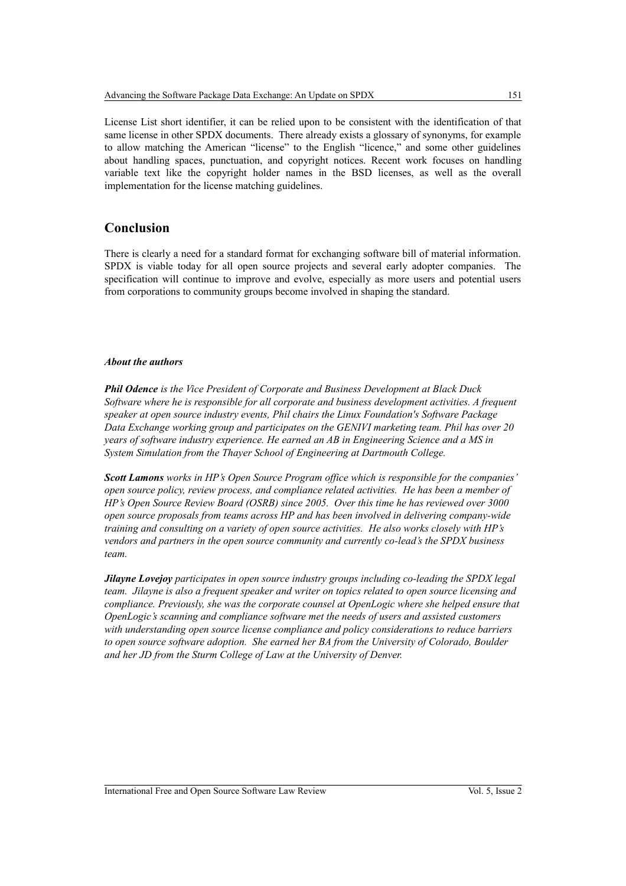License List short identifier, it can be relied upon to be consistent with the identification of that same license in other SPDX documents. There already exists a glossary of synonyms, for example to allow matching the American "license" to the English "licence," and some other guidelines about handling spaces, punctuation, and copyright notices. Recent work focuses on handling variable text like the copyright holder names in the BSD licenses, as well as the overall implementation for the license matching guidelines.

## **Conclusion**

There is clearly a need for a standard format for exchanging software bill of material information. SPDX is viable today for all open source projects and several early adopter companies. The specification will continue to improve and evolve, especially as more users and potential users from corporations to community groups become involved in shaping the standard.

#### *About the authors*

*Phil Odence is the Vice President of Corporate and Business Development at Black Duck Software where he is responsible for all corporate and business development activities. A frequent speaker at open source industry events, Phil chairs the Linux Foundation's Software Package Data Exchange working group and participates on the GENIVI marketing team. Phil has over 20 years of software industry experience. He earned an AB in Engineering Science and a MS in System Simulation from the Thayer School of Engineering at Dartmouth College.*

*Scott Lamons works in HP's Open Source Program office which is responsible for the companies' open source policy, review process, and compliance related activities. He has been a member of HP's Open Source Review Board (OSRB) since 2005. Over this time he has reviewed over 3000 open source proposals from teams across HP and has been involved in delivering company-wide training and consulting on a variety of open source activities. He also works closely with HP's vendors and partners in the open source community and currently co-lead's the SPDX business team.*

*Jilayne Lovejoy participates in open source industry groups including co-leading the SPDX legal team. Jilayne is also a frequent speaker and writer on topics related to open source licensing and compliance. Previously, she was the corporate counsel at OpenLogic where she helped ensure that OpenLogic's scanning and compliance software met the needs of users and assisted customers with understanding open source license compliance and policy considerations to reduce barriers to open source software adoption. She earned her BA from the University of Colorado, Boulder and her JD from the Sturm College of Law at the University of Denver.*